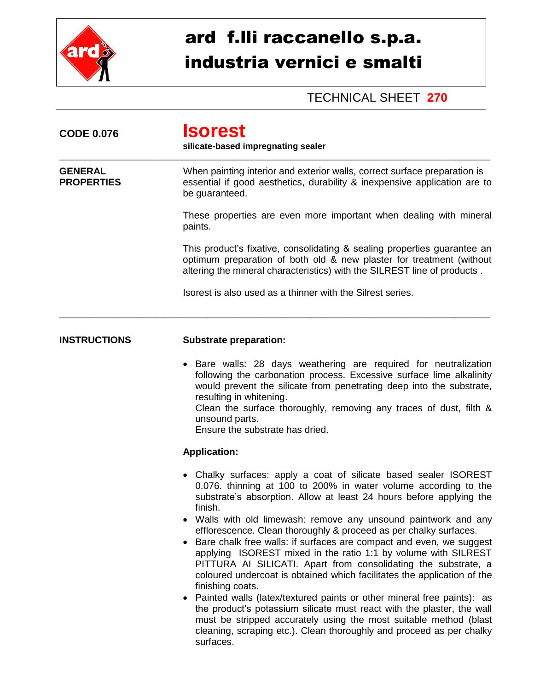

## ard f.lli raccanello s.p.a. industria vernici e smalti

## TECHNICAL SHEET **270**

| <b>CODE 0.076</b>                   | <b>Isorest</b><br>silicate-based impregnating sealer                                                                                                                                                                                                                                                                                                                                                                                                                                                                                                                                                                                                                                                                                                                                                                                                                                                                                                                                |  |  |
|-------------------------------------|-------------------------------------------------------------------------------------------------------------------------------------------------------------------------------------------------------------------------------------------------------------------------------------------------------------------------------------------------------------------------------------------------------------------------------------------------------------------------------------------------------------------------------------------------------------------------------------------------------------------------------------------------------------------------------------------------------------------------------------------------------------------------------------------------------------------------------------------------------------------------------------------------------------------------------------------------------------------------------------|--|--|
| <b>GENERAL</b><br><b>PROPERTIES</b> | When painting interior and exterior walls, correct surface preparation is<br>essential if good aesthetics, durability & inexpensive application are to<br>be guaranteed.                                                                                                                                                                                                                                                                                                                                                                                                                                                                                                                                                                                                                                                                                                                                                                                                            |  |  |
|                                     | These properties are even more important when dealing with mineral<br>paints.                                                                                                                                                                                                                                                                                                                                                                                                                                                                                                                                                                                                                                                                                                                                                                                                                                                                                                       |  |  |
|                                     | This product's fixative, consolidating & sealing properties guarantee an<br>optimum preparation of both old & new plaster for treatment (without<br>altering the mineral characteristics) with the SILREST line of products.                                                                                                                                                                                                                                                                                                                                                                                                                                                                                                                                                                                                                                                                                                                                                        |  |  |
|                                     | Isorest is also used as a thinner with the Silrest series.                                                                                                                                                                                                                                                                                                                                                                                                                                                                                                                                                                                                                                                                                                                                                                                                                                                                                                                          |  |  |
| <b>INSTRUCTIONS</b>                 | <b>Substrate preparation:</b>                                                                                                                                                                                                                                                                                                                                                                                                                                                                                                                                                                                                                                                                                                                                                                                                                                                                                                                                                       |  |  |
|                                     | Bare walls: 28 days weathering are required for neutralization<br>following the carbonation process. Excessive surface lime alkalinity<br>would prevent the silicate from penetrating deep into the substrate,<br>resulting in whitening.<br>Clean the surface thoroughly, removing any traces of dust, filth &<br>unsound parts.<br>Ensure the substrate has dried.                                                                                                                                                                                                                                                                                                                                                                                                                                                                                                                                                                                                                |  |  |
|                                     | <b>Application:</b>                                                                                                                                                                                                                                                                                                                                                                                                                                                                                                                                                                                                                                                                                                                                                                                                                                                                                                                                                                 |  |  |
|                                     | Chalky surfaces: apply a coat of silicate based sealer ISOREST<br>0.076. thinning at 100 to 200% in water volume according to the<br>substrate's absorption. Allow at least 24 hours before applying the<br>finish.<br>Walls with old limewash: remove any unsound paintwork and any<br>efflorescence. Clean thoroughly & proceed as per chalky surfaces.<br>Bare chalk free walls: if surfaces are compact and even, we suggest<br>applying ISOREST mixed in the ratio 1:1 by volume with SILREST<br>PITTURA AI SILICATI. Apart from consolidating the substrate, a<br>coloured undercoat is obtained which facilitates the application of the<br>finishing coats.<br>• Painted walls (latex/textured paints or other mineral free paints): as<br>the product's potassium silicate must react with the plaster, the wall<br>must be stripped accurately using the most suitable method (blast<br>cleaning, scraping etc.). Clean thoroughly and proceed as per chalky<br>surfaces. |  |  |